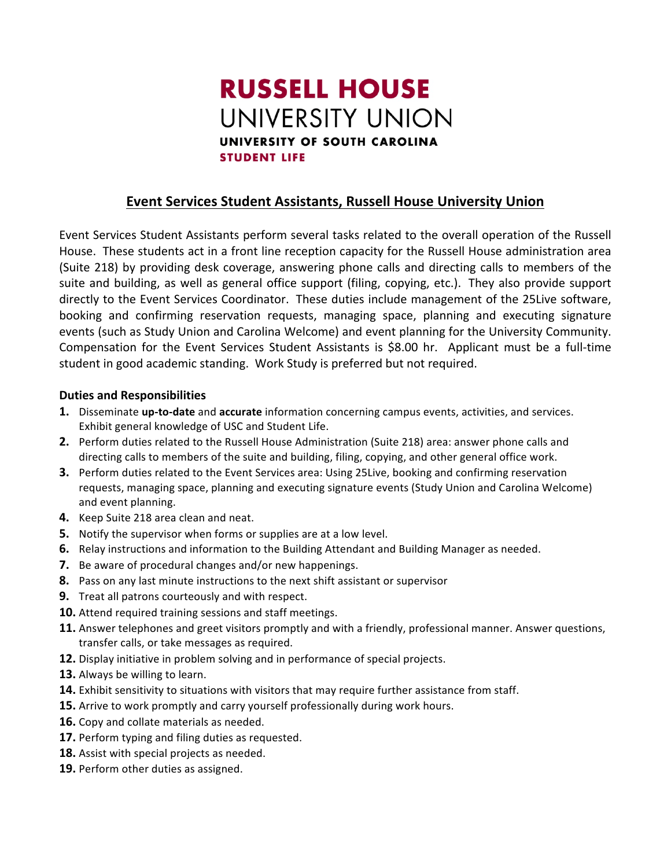# **RUSSELL HOUSE** UNIVERSITY UNION UNIVERSITY OF SOUTH CAROLINA **STUDENT LIFE**

## **Event Services Student Assistants, Russell House University Union**

Event Services Student Assistants perform several tasks related to the overall operation of the Russell House. These students act in a front line reception capacity for the Russell House administration area (Suite 218) by providing desk coverage, answering phone calls and directing calls to members of the suite and building, as well as general office support (filing, copying, etc.). They also provide support directly to the Event Services Coordinator. These duties include management of the 25Live software, booking and confirming reservation requests, managing space, planning and executing signature events (such as Study Union and Carolina Welcome) and event planning for the University Community. Compensation for the Event Services Student Assistants is \$8.00 hr. Applicant must be a full-time student in good academic standing. Work Study is preferred but not required.

### **Duties and Responsibilities**

- **1.** Disseminate **up-to-date** and **accurate** information concerning campus events, activities, and services. Exhibit general knowledge of USC and Student Life.
- **2.** Perform duties related to the Russell House Administration (Suite 218) area: answer phone calls and directing calls to members of the suite and building, filing, copying, and other general office work.
- **3.** Perform duties related to the Event Services area: Using 25Live, booking and confirming reservation requests, managing space, planning and executing signature events (Study Union and Carolina Welcome) and event planning.
- 4. Keep Suite 218 area clean and neat.
- **5.** Notify the supervisor when forms or supplies are at a low level.
- **6.** Relay instructions and information to the Building Attendant and Building Manager as needed.
- **7.** Be aware of procedural changes and/or new happenings.
- **8.** Pass on any last minute instructions to the next shift assistant or supervisor
- **9.** Treat all patrons courteously and with respect.
- **10.** Attend required training sessions and staff meetings.
- **11.** Answer telephones and greet visitors promptly and with a friendly, professional manner. Answer questions, transfer calls, or take messages as required.
- **12.** Display initiative in problem solving and in performance of special projects.
- 13. Always be willing to learn.
- **14.** Exhibit sensitivity to situations with visitors that may require further assistance from staff.
- **15.** Arrive to work promptly and carry yourself professionally during work hours.
- **16.** Copy and collate materials as needed.
- **17.** Perform typing and filing duties as requested.
- 18. Assist with special projects as needed.
- **19.** Perform other duties as assigned.